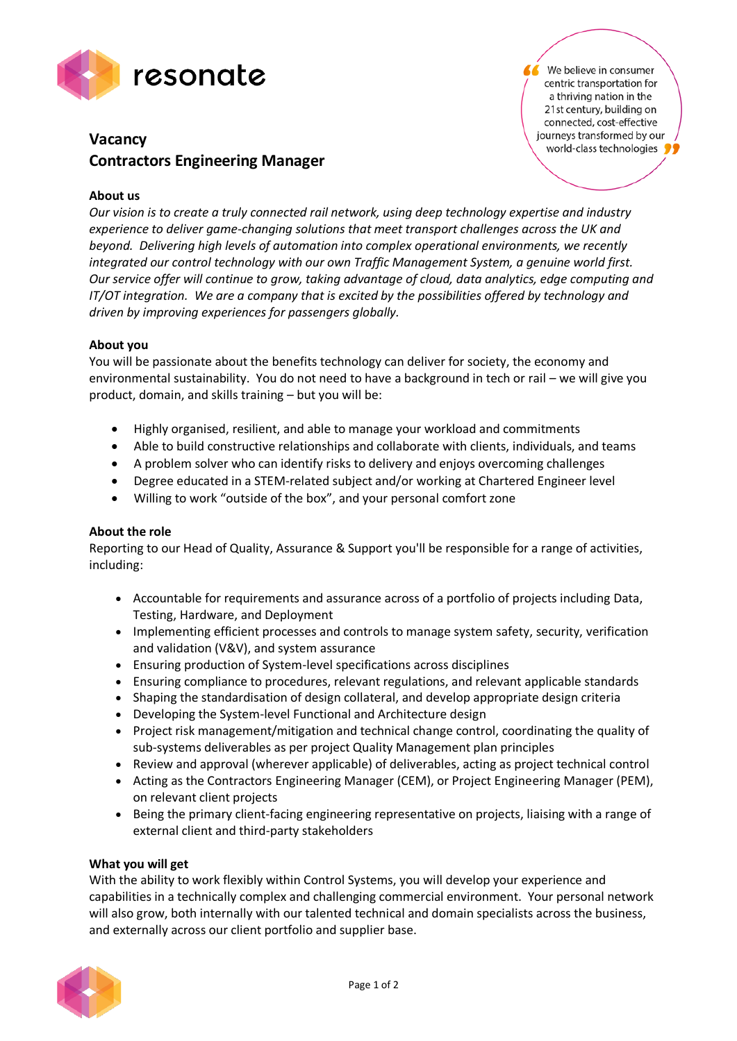

# **Vacancy Contractors Engineering Manager**

We believe in consumer centric transportation for a thriving nation in the 21st century, building on connected, cost-effective journeys transformed by our world-class technologies

## **About us**

*Our vision is to create a truly connected rail network, using deep technology expertise and industry experience to deliver game-changing solutions that meet transport challenges across the UK and beyond. Delivering high levels of automation into complex operational environments, we recently integrated our control technology with our own Traffic Management System, a genuine world first. Our service offer will continue to grow, taking advantage of cloud, data analytics, edge computing and IT/OT integration. We are a company that is excited by the possibilities offered by technology and driven by improving experiences for passengers globally.*

#### **About you**

You will be passionate about the benefits technology can deliver for society, the economy and environmental sustainability. You do not need to have a background in tech or rail – we will give you product, domain, and skills training – but you will be:

- Highly organised, resilient, and able to manage your workload and commitments
- Able to build constructive relationships and collaborate with clients, individuals, and teams
- A problem solver who can identify risks to delivery and enjoys overcoming challenges
- Degree educated in a STEM-related subject and/or working at Chartered Engineer level
- Willing to work "outside of the box", and your personal comfort zone

### **About the role**

Reporting to our Head of Quality, Assurance & Support you'll be responsible for a range of activities, including:

- Accountable for requirements and assurance across of a portfolio of projects including Data, Testing, Hardware, and Deployment
- Implementing efficient processes and controls to manage system safety, security, verification and validation (V&V), and system assurance
- Ensuring production of System-level specifications across disciplines
- Ensuring compliance to procedures, relevant regulations, and relevant applicable standards
- Shaping the standardisation of design collateral, and develop appropriate design criteria
- Developing the System-level Functional and Architecture design
- Project risk management/mitigation and technical change control, coordinating the quality of sub-systems deliverables as per project Quality Management plan principles
- Review and approval (wherever applicable) of deliverables, acting as project technical control
- Acting as the Contractors Engineering Manager (CEM), or Project Engineering Manager (PEM), on relevant client projects
- Being the primary client-facing engineering representative on projects, liaising with a range of external client and third-party stakeholders

#### **What you will get**

With the ability to work flexibly within Control Systems, you will develop your experience and capabilities in a technically complex and challenging commercial environment. Your personal network will also grow, both internally with our talented technical and domain specialists across the business, and externally across our client portfolio and supplier base.